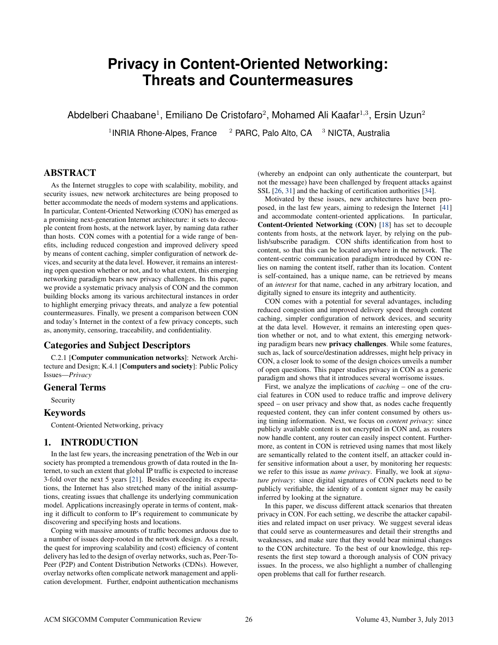# **Privacy in Content-Oriented Networking: Threats and Countermeasures**

Abdelberi Chaabane<sup>1</sup>, Emiliano De Cristofaro<sup>2</sup>, Mohamed Ali Kaafar<sup>1,3</sup>, Ersin Uzun<sup>2</sup>

<sup>1</sup>INRIA Rhone-Alpes, France  $12$  PARC, Palo Alto, CA  $3$  NICTA, Australia

# **ABSTRACT**

As the Internet struggles to cope with scalability, mobility, and security issues, new network architectures are being proposed to better accommodate the needs of modern systems and applications. In particular, Content-Oriented Networking (CON) has emerged as a promising next-generation Internet architecture: it sets to decouple content from hosts, at the network layer, by naming data rather than hosts. CON comes with a potential for a wide range of benefits, including reduced congestion and improved delivery speed by means of content caching, simpler configuration of network devices, and security at the data level. However, it remains an interesting open question whether or not, and to what extent, this emerging networking paradigm bears new privacy challenges. In this paper, we provide a systematic privacy analysis of CON and the common building blocks among its various architectural instances in order to highlight emerging privacy threats, and analyze a few potential countermeasures. Finally, we present a comparison between CON and today's Internet in the context of a few privacy concepts, such as, anonymity, censoring, traceability, and confidentiality.

## Categories and Subject Descriptors

C.2.1 [Computer communication networks]: Network Architecture and Design; K.4.1 [Computers and society]: Public Policy Issues—*Privacy*

#### General Terms

Security

### Keywords

Content-Oriented Networking, privacy

## 1. INTRODUCTION

In the last few years, the increasing penetration of the Web in our society has prompted a tremendous growth of data routed in the Internet, to such an extent that global IP traffic is expected to increase 3-fold over the next 5 years [\[21\]](#page-7-0). Besides exceeding its expectations, the Internet has also stretched many of the initial assumptions, creating issues that challenge its underlying communication model. Applications increasingly operate in terms of content, making it difficult to conform to IP's requirement to communicate by discovering and specifying hosts and locations.

Coping with massive amounts of traffic becomes arduous due to a number of issues deep-rooted in the network design. As a result, the quest for improving scalability and (cost) efficiency of content delivery has led to the design of overlay networks, such as, Peer-To-Peer (P2P) and Content Distribution Networks (CDNs). However, overlay networks often complicate network management and application development. Further, endpoint authentication mechanisms

(whereby an endpoint can only authenticate the counterpart, but not the message) have been challenged by frequent attacks against SSL [\[26,](#page-7-1) [31\]](#page-7-2) and the hacking of certification authorities [\[34\]](#page-7-3).

Motivated by these issues, new architectures have been proposed, in the last few years, aiming to redesign the Internet [\[41\]](#page-7-4) and accommodate content-oriented applications. In particular, Content-Oriented Networking (CON) [\[18\]](#page-7-5) has set to decouple contents from hosts, at the network layer, by relying on the publish/subscribe paradigm. CON shifts identification from host to content, so that this can be located anywhere in the network. The content-centric communication paradigm introduced by CON relies on naming the content itself, rather than its location. Content is self-contained, has a unique name, can be retrieved by means of an *interest* for that name, cached in any arbitrary location, and digitally signed to ensure its integrity and authenticity.

CON comes with a potential for several advantages, including reduced congestion and improved delivery speed through content caching, simpler configuration of network devices, and security at the data level. However, it remains an interesting open question whether or not, and to what extent, this emerging networking paradigm bears new privacy challenges. While some features, such as, lack of source/destination addresses, might help privacy in CON, a closer look to some of the design choices unveils a number of open questions. This paper studies privacy in CON as a generic paradigm and shows that it introduces several worrisome issues.

First, we analyze the implications of *caching* – one of the crucial features in CON used to reduce traffic and improve delivery speed – on user privacy and show that, as nodes cache frequently requested content, they can infer content consumed by others using timing information. Next, we focus on *content privacy*: since publicly available content is not encrypted in CON and, as routers now handle content, any router can easily inspect content. Furthermore, as content in CON is retrieved using names that most likely are semantically related to the content itself, an attacker could infer sensitive information about a user, by monitoring her requests: we refer to this issue as *name privacy*. Finally, we look at *signature privacy*: since digital signatures of CON packets need to be publicly verifiable, the identity of a content signer may be easily inferred by looking at the signature.

In this paper, we discuss different attack scenarios that threaten privacy in CON. For each setting, we describe the attacker capabilities and related impact on user privacy. We suggest several ideas that could serve as countermeasures and detail their strengths and weaknesses, and make sure that they would bear minimal changes to the CON architecture. To the best of our knowledge, this represents the first step toward a thorough analysis of CON privacy issues. In the process, we also highlight a number of challenging open problems that call for further research.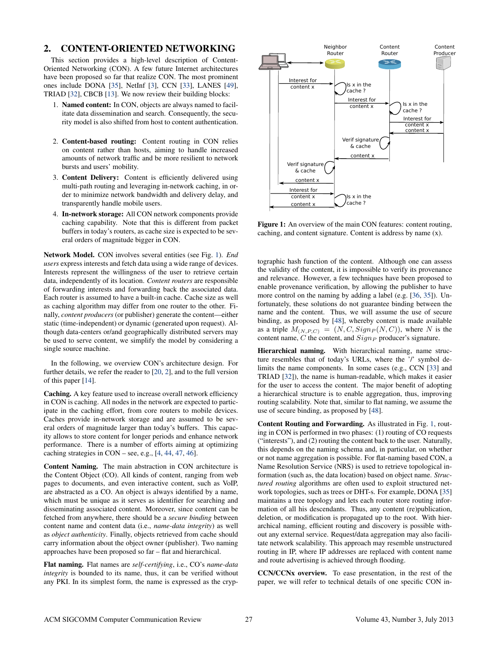## 2. CONTENT-ORIENTED NETWORKING

This section provides a high-level description of Content-Oriented Networking (CON). A few future Internet architectures have been proposed so far that realize CON. The most prominent ones include DONA [\[35\]](#page-7-6), NetInf [\[3\]](#page-7-7), CCN [\[33\]](#page-7-8), LANES [\[49\]](#page-7-9), TRIAD [\[32\]](#page-7-10), CBCB [\[13\]](#page-7-11). We now review their building blocks:

- 1. Named content: In CON, objects are always named to facilitate data dissemination and search. Consequently, the security model is also shifted from host to content authentication.
- 2. Content-based routing: Content routing in CON relies on content rather than hosts, aiming to handle increased amounts of network traffic and be more resilient to network bursts and users' mobility.
- 3. Content Delivery: Content is efficiently delivered using multi-path routing and leveraging in-network caching, in order to minimize network bandwidth and delivery delay, and transparently handle mobile users.
- 4. In-network storage: All CON network components provide caching capability. Note that this is different from packet buffers in today's routers, as cache size is expected to be several orders of magnitude bigger in CON.

Network Model. CON involves several entities (see Fig. [1\)](#page-1-0). *End users* express interests and fetch data using a wide range of devices. Interests represent the willingness of the user to retrieve certain data, independently of its location. *Content routers* are responsible of forwarding interests and forwarding back the associated data. Each router is assumed to have a built-in cache. Cache size as well as caching algorithm may differ from one router to the other. Finally, *content producers* (or publisher) generate the content—either static (time-independent) or dynamic (generated upon request). Although data-centers or/and geographically distributed servers may be used to serve content, we simplify the model by considering a single source machine.

In the following, we overview CON's architecture design. For further details, we refer the reader to [\[20,](#page-7-12) [2\]](#page-7-13), and to the full version of this paper [\[14\]](#page-7-14).

Caching. A key feature used to increase overall network efficiency in CON is caching. All nodes in the network are expected to participate in the caching effort, from core routers to mobile devices. Caches provide in-network storage and are assumed to be several orders of magnitude larger than today's buffers. This capacity allows to store content for longer periods and enhance network performance. There is a number of efforts aiming at optimizing caching strategies in CON – see, e.g., [\[4,](#page-7-15) [44,](#page-7-16) [47,](#page-7-17) [46\]](#page-7-18).

Content Naming. The main abstraction in CON architecture is the Content Object (CO). All kinds of content, ranging from web pages to documents, and even interactive content, such as VoIP, are abstracted as a CO. An object is always identified by a name, which must be unique as it serves as identifier for searching and disseminating associated content. Moreover, since content can be fetched from anywhere, there should be a *secure binding* between content name and content data (i.e., *name-data integrity*) as well as *object authenticity*. Finally, objects retrieved from cache should carry information about the object owner (publisher). Two naming approaches have been proposed so far – flat and hierarchical.

Flat naming. Flat names are *self-certifying*, i.e., CO's *name-data integrity* is bounded to its name, thus, it can be verified without any PKI. In its simplest form, the name is expressed as the cryp-

<span id="page-1-0"></span>

Figure 1: An overview of the main CON features: content routing, caching, and content signature. Content is address by name (x).

tographic hash function of the content. Although one can assess the validity of the content, it is impossible to verify its provenance and relevance. However, a few techniques have been proposed to enable provenance verification, by allowing the publisher to have more control on the naming by adding a label (e.g. [\[36,](#page-7-19) [35\]](#page-7-6)). Unfortunately, these solutions do not guarantee binding between the name and the content. Thus, we will assume the use of secure binding, as proposed by [\[48\]](#page-7-20), whereby content is made available as a triple  $M_{(N,P,C)} = (N, C, Sign_P(N, C))$ , where N is the content name,  $C$  the content, and  $Sign_P$  producer's signature.

Hierarchical naming. With hierarchical naming, name structure resembles that of today's URLs, where the '/' symbol delimits the name components. In some cases (e.g., CCN [\[33\]](#page-7-8) and TRIAD [\[32\]](#page-7-10)), the name is human-readable, which makes it easier for the user to access the content. The major benefit of adopting a hierarchical structure is to enable aggregation, thus, improving routing scalability. Note that, similar to flat naming, we assume the use of secure binding, as proposed by [\[48\]](#page-7-20).

Content Routing and Forwarding. As illustrated in Fig. [1,](#page-1-0) routing in CON is performed in two phases: (1) routing of CO requests ("interests"), and (2) routing the content back to the user. Naturally, this depends on the naming schema and, in particular, on whether or not name aggregation is possible. For flat-naming based CON, a Name Resolution Service (NRS) is used to retrieve topological information (such as, the data location) based on object name. *Structured routing* algorithms are often used to exploit structured network topologies, such as trees or DHT-s. For example, DONA [\[35\]](#page-7-6) maintains a tree topology and lets each router store routing information of all his descendants. Thus, any content (re)publication, deletion, or modification is propagated up to the root. With hierarchical naming, efficient routing and discovery is possible without any external service. Request/data aggregation may also facilitate network scalability. This approach may resemble unstructured routing in IP, where IP addresses are replaced with content name and route advertising is achieved through flooding.

CCN/CCNx overview. To ease presentation, in the rest of the paper, we will refer to technical details of one specific CON in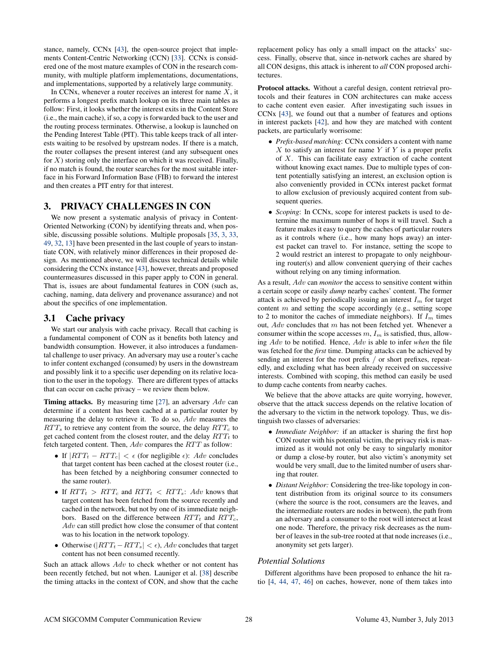stance, namely, CCNx [\[43\]](#page-7-21), the open-source project that implements Content-Centric Networking (CCN) [\[33\]](#page-7-8). CCNx is considered one of the most mature examples of CON in the research community, with multiple platform implementations, documentations, and implementations, supported by a relatively large community.

In CCN<sub>x</sub>, whenever a router receives an interest for name  $X$ , it performs a longest prefix match lookup on its three main tables as follow: First, it looks whether the interest exits in the Content Store (i.e., the main cache), if so, a copy is forwarded back to the user and the routing process terminates. Otherwise, a lookup is launched on the Pending Interest Table (PIT). This table keeps track of all interests waiting to be resolved by upstream nodes. If there is a match, the router collapses the present interest (and any subsequent ones for  $X$ ) storing only the interface on which it was received. Finally, if no match is found, the router searches for the most suitable interface in his Forward Information Base (FIB) to forward the interest and then creates a PIT entry for that interest.

## <span id="page-2-1"></span>3. PRIVACY CHALLENGES IN CON

We now present a systematic analysis of privacy in Content-Oriented Networking (CON) by identifying threats and, when possible, discussing possible solutions. Multiple proposals [\[35,](#page-7-6) [3,](#page-7-7) [33,](#page-7-8) [49,](#page-7-9) [32,](#page-7-10) [13\]](#page-7-11) have been presented in the last couple of years to instantiate CON, with relatively minor differences in their proposed design. As mentioned above, we will discuss technical details while considering the CCNx instance [\[43\]](#page-7-21), however, threats and proposed countermeasures discussed in this paper apply to CON in general. That is, issues are about fundamental features in CON (such as, caching, naming, data delivery and provenance assurance) and not about the specifics of one implementation.

## <span id="page-2-0"></span>3.1 Cache privacy

We start our analysis with cache privacy. Recall that caching is a fundamental component of CON as it benefits both latency and bandwidth consumption. However, it also introduces a fundamental challenge to user privacy. An adversary may use a router's cache to infer content exchanged (consumed) by users in the downstream and possibly link it to a specific user depending on its relative location to the user in the topology. There are different types of attacks that can occur on cache privacy – we review them below.

**Timing attacks.** By measuring time [\[27\]](#page-7-22), an adversary  $Adv$  can determine if a content has been cached at a particular router by measuring the delay to retrieve it. To do so, Adv measures the  $RTT_s$  to retrieve any content from the source, the delay  $RTT_c$  to get cached content from the closest router, and the delay  $RTT_t$  to fetch targeted content. Then,  $Adv$  compares the  $RTT$  as follow:

- If  $|RTT_t RTT_c| < \epsilon$  (for negligible  $\epsilon$ ): Adv concludes that target content has been cached at the closest router (i.e., has been fetched by a neighboring consumer connected to the same router).
- If  $RTT_t > RTT_c$  and  $RTT_t < RTT_s$ : Adv knows that target content has been fetched from the source recently and cached in the network, but not by one of its immediate neighbors. Based on the difference between  $RTT_t$  and  $RTT_c$ , Adv can still predict how close the consumer of that content was to his location in the network topology.
- Otherwise ( $|RTT_t RTT_s| < \epsilon$ ), Adv concludes that target content has not been consumed recently.

Such an attack allows  $Adv$  to check whether or not content has been recently fetched, but not when. Launiger et al. [\[38\]](#page-7-23) describe the timing attacks in the context of CON, and show that the cache replacement policy has only a small impact on the attacks' success. Finally, observe that, since in-network caches are shared by all CON designs, this attack is inherent to *all* CON proposed architectures.

Protocol attacks. Without a careful design, content retrieval protocols and their features in CON architectures can make access to cache content even easier. After investigating such issues in CCNx [\[43\]](#page-7-21), we found out that a number of features and options in interest packets [\[42\]](#page-7-24), and how they are matched with content packets, are particularly worrisome:

- *Prefix-based matching*: CCNx considers a content with name  $X$  to satisfy an interest for name Y if Y is a proper prefix of X. This can facilitate easy extraction of cache content without knowing exact names. Due to multiple types of content potentially satisfying an interest, an exclusion option is also conveniently provided in CCNx interest packet format to allow exclusion of previously acquired content from subsequent queries.
- *Scoping*: In CCNx, scope for interest packets is used to determine the maximum number of hops it will travel. Such a feature makes it easy to query the caches of particular routers as it controls where (i.e., how many hops away) an interest packet can travel to. For instance, setting the scope to 2 would restrict an interest to propagate to only neighbouring router(s) and allow convenient querying of their caches without relying on any timing information.

As a result, Adv can *monitor* the access to sensitive content within a certain scope or easily *dump* nearby caches' content. The former attack is achieved by periodically issuing an interest  $I_m$  for target content  $m$  and setting the scope accordingly (e.g., setting scope to 2 to monitor the caches of immediate neighbors). If  $I_m$  times out,  $Adv$  concludes that  $m$  has not been fetched yet. Whenever a consumer within the scope accesses  $m, I_m$  is satisfied, thus, allowing Adv to be notified. Hence, Adv is able to infer *when* the file was fetched for the *first* time. Dumping attacks can be achieved by sending an interest for the root prefix / or short prefixes, repeatedly, and excluding what has been already received on successive interests. Combined with scoping, this method can easily be used to dump cache contents from nearby caches.

We believe that the above attacks are quite worrying, however, observe that the attack success depends on the relative location of the adversary to the victim in the network topology. Thus, we distinguish two classes of adversaries:

- *Immediate Neighbor:* if an attacker is sharing the first hop CON router with his potential victim, the privacy risk is maximized as it would not only be easy to singularly monitor or dump a close-by router, but also victim's anonymity set would be very small, due to the limited number of users sharing that router.
- *Distant Neighbor:* Considering the tree-like topology in content distribution from its original source to its consumers (where the source is the root, consumers are the leaves, and the intermediate routers are nodes in between), the path from an adversary and a consumer to the root will intersect at least one node. Therefore, the privacy risk decreases as the number of leaves in the sub-tree rooted at that node increases (i.e., anonymity set gets larger).

### *Potential Solutions*

Different algorithms have been proposed to enhance the hit ratio [\[4,](#page-7-15) [44,](#page-7-16) [47,](#page-7-17) [46\]](#page-7-18) on caches, however, none of them takes into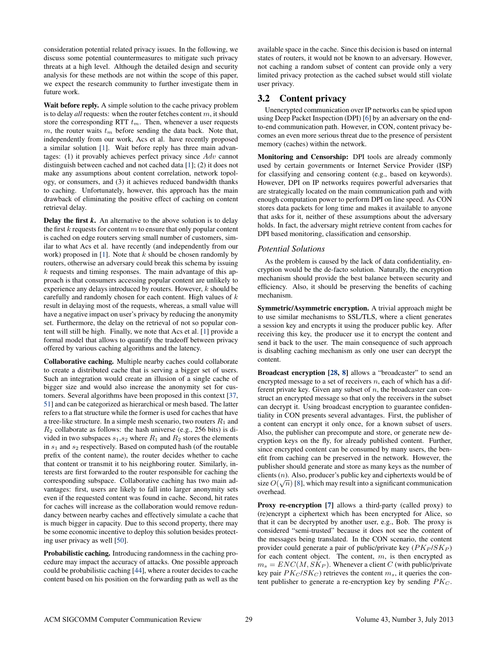consideration potential related privacy issues. In the following, we discuss some potential countermeasures to mitigate such privacy threats at a high level. Although the detailed design and security analysis for these methods are not within the scope of this paper, we expect the research community to further investigate them in future work.

Wait before reply. A simple solution to the cache privacy problem is to delay *all* requests: when the router fetches content m, it should store the corresponding RTT  $t_m$ . Then, whenever a user requests m, the router waits  $t_m$  before sending the data back. Note that, independently from our work, Acs et al. have recently proposed a similar solution [\[1\]](#page-7-25). Wait before reply has three main advantages: (1) it provably achieves perfect privacy since Adv cannot distinguish between cached and not cached data [\[1\]](#page-7-25); (2) it does not make any assumptions about content correlation, network topology, or consumers, and (3) it achieves reduced bandwidth thanks to caching. Unfortunately, however, this approach has the main drawback of eliminating the positive effect of caching on content retrieval delay.

**Delay the first**  $k$ **.** An alternative to the above solution is to delay the first  $k$  requests for content  $m$  to ensure that only popular content is cached on edge routers serving small number of customers, similar to what Acs et al. have recently (and independently from our work) proposed in [\[1\]](#page-7-25). Note that  $k$  should be chosen randomly by routers, otherwise an adversary could break this schema by issuing  $k$  requests and timing responses. The main advantage of this approach is that consumers accessing popular content are unlikely to experience any delays introduced by routers. However, k should be carefully and randomly chosen for each content. High values of  $k$ result in delaying most of the requests, whereas, a small value will have a negative impact on user's privacy by reducing the anonymity set. Furthermore, the delay on the retrieval of not so popular content will still be high. Finally, we note that Acs et al. [\[1\]](#page-7-25) provide a formal model that allows to quantify the tradeoff between privacy offered by various caching algorithms and the latency.

Collaborative caching. Multiple nearby caches could collaborate to create a distributed cache that is serving a bigger set of users. Such an integration would create an illusion of a single cache of bigger size and would also increase the anonymity set for customers. Several algorithms have been proposed in this context [\[37,](#page-7-26) [51\]](#page-7-27) and can be categorized as hierarchical or mesh based. The latter refers to a flat structure while the former is used for caches that have a tree-like structure. In a simple mesh scenario, two routers  $R_1$  and  $R_2$  collaborate as follows: the hash universe (e.g., 256 bits) is divided in two subspaces  $s_1,s_2$  where  $R_1$  and  $R_2$  stores the elements in  $s_1$  and  $s_2$  respectively. Based on computed hash (of the routable prefix of the content name), the router decides whether to cache that content or transmit it to his neighboring router. Similarly, interests are first forwarded to the router responsible for caching the corresponding subspace. Collaborative caching has two main advantages: first, users are likely to fall into larger anonymity sets even if the requested content was found in cache. Second, hit rates for caches will increase as the collaboration would remove redundancy between nearby caches and effectively simulate a cache that is much bigger in capacity. Due to this second property, there may be some economic incentive to deploy this solution besides protecting user privacy as well [\[50\]](#page-7-28).

Probabilistic caching. Introducing randomness in the caching procedure may impact the accuracy of attacks. One possible approach could be probabilistic caching [\[44\]](#page-7-16), where a router decides to cache content based on his position on the forwarding path as well as the available space in the cache. Since this decision is based on internal states of routers, it would not be known to an adversary. However, not caching a random subset of content can provide only a very limited privacy protection as the cached subset would still violate user privacy.

## 3.2 Content privacy

Unencrypted communication over IP networks can be spied upon using Deep Packet Inspection (DPI) [\[6\]](#page-7-29) by an adversary on the endto-end communication path. However, in CON, content privacy becomes an even more serious threat due to the presence of persistent memory (caches) within the network.

Monitoring and Censorship: DPI tools are already commonly used by certain governments or Internet Service Provider (ISP) for classifying and censoring content (e.g., based on keywords). However, DPI on IP networks requires powerful adversaries that are strategically located on the main communication path and with enough computation power to perform DPI on line speed. As CON stores data packets for long time and makes it available to anyone that asks for it, neither of these assumptions about the adversary holds. In fact, the adversary might retrieve content from caches for DPI based monitoring, classification and censorship.

### *Potential Solutions*

As the problem is caused by the lack of data confidentiality, encryption would be the de-facto solution. Naturally, the encryption mechanism should provide the best balance between security and efficiency. Also, it should be preserving the benefits of caching mechanism.

Symmetric/Asymmetric encryption. A trivial approach might be to use similar mechanisms to SSL/TLS, where a client generates a session key and encrypts it using the producer public key. After receiving this key, the producer use it to encrypt the content and send it back to the user. The main consequence of such approach is disabling caching mechanism as only one user can decrypt the content.

Broadcast encryption [\[28,](#page-7-30) [8\]](#page-7-31) allows a "broadcaster" to send an encrypted message to a set of receivers  $n$ , each of which has a different private key. Given any subset of  $n$ , the broadcaster can construct an encrypted message so that only the receivers in the subset can decrypt it. Using broadcast encryption to guarantee confidentiality in CON presents several advantages. First, the publisher of a content can encrypt it only once, for a known subset of users. Also, the publisher can precompute and store, or generate new decryption keys on the fly, for already published content. Further, since encrypted content can be consumed by many users, the benefit from caching can be preserved in the network. However, the publisher should generate and store as many keys as the number of clients (*n*). Also, producer's public key and ciphertexts would be of size  $O(\sqrt{n})$  [\[8\]](#page-7-31), which may result into a significant communication overhead.

Proxy re-encryption [\[7\]](#page-7-32) allows a third-party (called proxy) to (re)encrypt a ciphertext which has been encrypted for Alice, so that it can be decrypted by another user, e.g., Bob. The proxy is considered "semi-trusted" because it does not see the content of the messages being translated. In the CON scenario, the content provider could generate a pair of public/private key  $(PK_P/SK_P)$ for each content object. The content,  $m$ , is then encrypted as  $m_s = ENC(M, SK_P)$ . Whenever a client C (with public/private key pair  $PK_C / SK_C$ ) retrieves the content  $m_s$ , it queries the content publisher to generate a re-encryption key by sending  $PKC$ .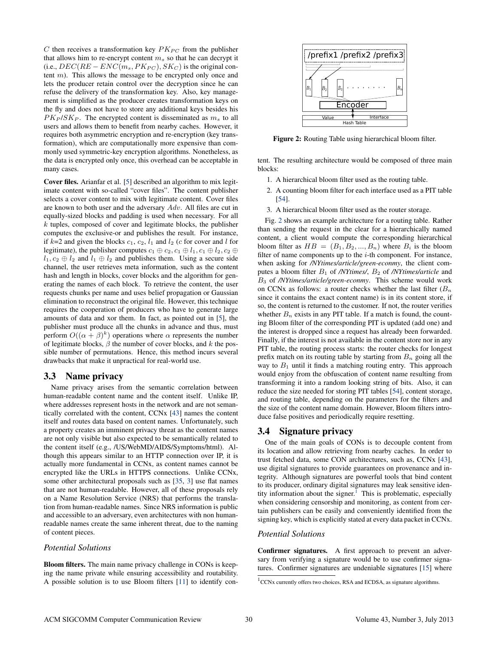C then receives a transformation key  $PK_{PC}$  from the publisher that allows him to re-encrypt content  $m<sub>s</sub>$  so that he can decrypt it (i.e.,  $DEC(RE - ENC(m<sub>s</sub>, PK<sub>PC</sub>), SK<sub>C</sub>)$  is the original content  $m$ ). This allows the message to be encrypted only once and lets the producer retain control over the decryption since he can refuse the delivery of the transformation key. Also, key management is simplified as the producer creates transformation keys on the fly and does not have to store any additional keys besides his  $PK_P/SK_P$ . The encrypted content is disseminated as  $m_s$  to all users and allows them to benefit from nearby caches. However, it requires both asymmetric encryption and re-encryption (key transformation), which are computationally more expensive than commonly used symmetric-key encryption algorithms. Nonetheless, as the data is encrypted only once, this overhead can be acceptable in many cases.

Cover files. Arianfar et al. [\[5\]](#page-7-33) described an algorithm to mix legitimate content with so-called "cover files". The content publisher selects a cover content to mix with legitimate content. Cover files are known to both user and the adversary Adv. All files are cut in equally-sized blocks and padding is used when necessary. For all  $k$  tuples, composed of cover and legitimate blocks, the publisher computes the exclusive-or and publishes the result. For instance, if  $k=2$  and given the blocks  $c_1$ ,  $c_2$ ,  $l_1$  and  $l_2$  (c for cover and l for legitimate), the publisher computes  $c_1 \oplus c_2, c_1 \oplus l_1, c_1 \oplus l_2, c_2 \oplus$  $l_1, c_2 \oplus l_2$  and  $l_1 \oplus l_2$  and publishes them. Using a secure side channel, the user retrieves meta information, such as the content hash and length in blocks, cover blocks and the algorithm for generating the names of each block. To retrieve the content, the user requests chunks per name and uses belief propagation or Gaussian elimination to reconstruct the original file. However, this technique requires the cooperation of producers who have to generate large amounts of data and xor them. In fact, as pointed out in [\[5\]](#page-7-33), the publisher must produce all the chunks in advance and thus, must perform  $O((\alpha + \beta)^k)$  operations where  $\alpha$  represents the number of legitimate blocks,  $\beta$  the number of cover blocks, and k the possible number of permutations. Hence, this method incurs several drawbacks that make it unpractical for real-world use.

### 3.3 Name privacy

Name privacy arises from the semantic correlation between human-readable content name and the content itself. Unlike IP, where addresses represent hosts in the network and are not semantically correlated with the content, CCNx [\[43\]](#page-7-21) names the content itself and routes data based on content names. Unfortunately, such a property creates an imminent privacy threat as the content names are not only visible but also expected to be semantically related to the content itself (e.g., /US/WebMD/AIDS/Symptoms/html). Although this appears similar to an HTTP connection over IP, it is actually more fundamental in CCNx, as content names cannot be encrypted like the URLs in HTTPS connections. Unlike CCNx, some other architectural proposals such as [\[35,](#page-7-6) [3\]](#page-7-7) use flat names that are not human-readable. However, all of these proposals rely on a Name Resolution Service (NRS) that performs the translation from human-readable names. Since NRS information is public and accessible to an adversary, even architectures with non humanreadable names create the same inherent threat, due to the naming of content pieces.

#### *Potential Solutions*

Bloom filters. The main name privacy challenge in CONs is keeping the name private while ensuring accessibility and routability. A possible solution is to use Bloom filters [\[11\]](#page-7-34) to identify con-

<span id="page-4-0"></span>

Figure 2: Routing Table using hierarchical bloom filter.

tent. The resulting architecture would be composed of three main blocks:

- 1. A hierarchical bloom filter used as the routing table.
- 2. A counting bloom filter for each interface used as a PIT table [\[54\]](#page-7-35).
- 3. A hierarchical bloom filter used as the router storage.

Fig. [2](#page-4-0) shows an example architecture for a routing table. Rather than sending the request in the clear for a hierarchically named content, a client would compute the corresponding hierarchical bloom filter as  $HB = (B_1, B_2, ..., B_n)$  where  $B_i$  is the bloom filter of name components up to the  $i$ -th component. For instance, when asking for */NYtimes/article/green-econmy*, the client computes a bloom filter  $B_1$  of */NYtimes/,*  $B_2$  *of /NYtimes/article* and B<sup>3</sup> of */NYtimes/article/green-econmy*. This scheme would work on CCNx as follows: a router checks whether the last filter  $(B_n)$ since it contains the exact content name) is in its content store, if so, the content is returned to the customer. If not, the router verifies whether  $B_n$  exists in any PIT table. If a match is found, the counting Bloom filter of the corresponding PIT is updated (add one) and the interest is dropped since a request has already been forwarded. Finally, if the interest is not available in the content store nor in any PIT table, the routing process starts: the router checks for longest prefix match on its routing table by starting from  $B_n$  going all the way to  $B_1$  until it finds a matching routing entry. This approach would enjoy from the obfuscation of content name resulting from transforming it into a random looking string of bits. Also, it can reduce the size needed for storing PIT tables [\[54\]](#page-7-35), content storage, and routing table, depending on the parameters for the filters and the size of the content name domain. However, Bloom filters introduce false positives and periodically require resetting.

#### 3.4 Signature privacy

One of the main goals of CONs is to decouple content from its location and allow retrieving from nearby caches. In order to trust fetched data, some CON architectures, such as, CCNx [\[43\]](#page-7-21), use digital signatures to provide guarantees on provenance and integrity. Although signatures are powerful tools that bind content to its producer, ordinary digital signatures may leak sensitive identity information about the signer.<sup> $\overline{1}$  $\overline{1}$  $\overline{1}$ </sup> This is problematic, especially when considering censorship and monitoring, as content from certain publishers can be easily and conveniently identified from the signing key, which is explicitly stated at every data packet in CCNx.

#### *Potential Solutions*

Confirmer signatures. A first approach to prevent an adversary from verifying a signature would be to use confirmer signatures. Confirmer signatures are undeniable signatures [\[15\]](#page-7-36) where

<span id="page-4-1"></span><sup>&</sup>lt;sup>1</sup>CCNx currently offers two choices, RSA and ECDSA, as signature algorithms.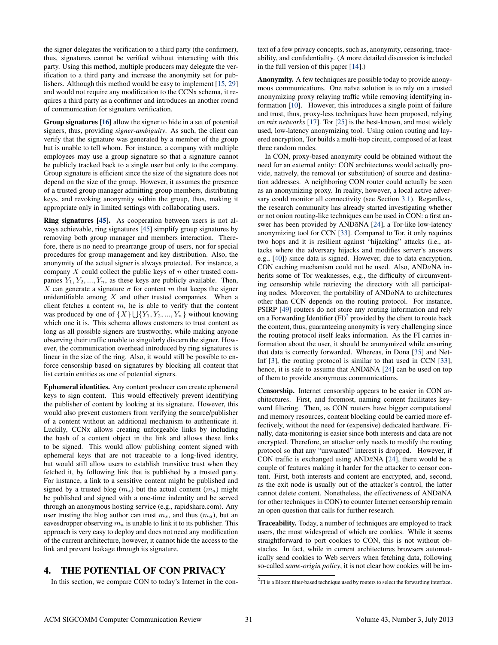the signer delegates the verification to a third party (the confirmer), thus, signatures cannot be verified without interacting with this party. Using this method, multiple producers may delegate the verification to a third party and increase the anonymity set for publishers. Although this method would be easy to implement [\[15,](#page-7-36) [29\]](#page-7-37) and would not require any modification to the CCNx schema, it requires a third party as a confirmer and introduces an another round of communication for signature verification.

Group signatures [\[16\]](#page-7-38) allow the signer to hide in a set of potential signers, thus, providing *signer-ambiguity*. As such, the client can verify that the signature was generated by a member of the group but is unable to tell whom. For instance, a company with multiple employees may use a group signature so that a signature cannot be publicly tracked back to a single user but only to the company. Group signature is efficient since the size of the signature does not depend on the size of the group. However, it assumes the presence of a trusted group manager admitting group members, distributing keys, and revoking anonymity within the group, thus, making it appropriate only in limited settings with collaborating users.

Ring signatures [\[45\]](#page-7-39). As cooperation between users is not always achievable, ring signatures [\[45\]](#page-7-39) simplify group signatures by removing both group manager and members interaction. Therefore, there is no need to prearrange group of users, nor for special procedures for group management and key distribution. Also, the anonymity of the actual signer is always protected. For instance, a company  $X$  could collect the public keys of  $n$  other trusted companies  $Y_1, Y_2, ..., Y_n$ , as these keys are publicly available. Then, X can generate a signature  $\sigma$  for content m that keeps the signer unidentifiable among  $X$  and other trusted companies. When a client fetches a content  $m$ , he is able to verify that the content was produced by one of  $\{X\} \bigcup \{Y_1, Y_2, ..., Y_n\}$  without knowing which one it is. This schema allows customers to trust content as long as all possible signers are trustworthy, while making anyone observing their traffic unable to singularly discern the signer. However, the communication overhead introduced by ring signatures is linear in the size of the ring. Also, it would still be possible to enforce censorship based on signatures by blocking all content that list certain entities as one of potential signers.

Ephemeral identities. Any content producer can create ephemeral keys to sign content. This would effectively prevent identifying the publisher of content by looking at its signature. However, this would also prevent customers from verifying the source/publisher of a content without an additional mechanism to authenticate it. Luckily, CCNx allows creating unforgeable links by including the hash of a content object in the link and allows these links to be signed. This would allow publishing content signed with ephemeral keys that are not traceable to a long-lived identity, but would still allow users to establish transitive trust when they fetched it, by following link that is published by a trusted party. For instance, a link to a sensitive content might be published and signed by a trusted blog  $(m_s)$  but the actual content  $(m_a)$  might be published and signed with a one-time indentity and be served through an anonymous hosting service (e.g., rapidshare.com). Any user trusting the blog author can trust  $m_s$ , and thus  $(m_a)$ , but an eavesdropper observing  $m_a$  is unable to link it to its publisher. This approach is very easy to deploy and does not need any modification of the current architecture, however, it cannot hide the access to the link and prevent leakage through its signature.

# 4. THE POTENTIAL OF CON PRIVACY

In this section, we compare CON to today's Internet in the con-

text of a few privacy concepts, such as, anonymity, censoring, traceability, and confidentiality. (A more detailed discussion is included in the full version of this paper [\[14\]](#page-7-14).)

Anonymity. A few techniques are possible today to provide anonymous communications. One naïve solution is to rely on a trusted anonymizing proxy relaying traffic while removing identifying information [\[10\]](#page-7-40). However, this introduces a single point of failure and trust, thus, proxy-less techniques have been proposed, relying on *mix networks* [\[17\]](#page-7-41). Tor [\[25\]](#page-7-42) is the best-known, and most widely used, low-latency anonymizing tool. Using onion routing and layered encryption, Tor builds a multi-hop circuit, composed of at least three random nodes.

In CON, proxy-based anonymity could be obtained without the need for an external entity: CON architectures would actually provide, natively, the removal (or substitution) of source and destination addresses. A neighboring CON router could actually be seen as an anonymizing proxy. In reality, however, a local active adversary could monitor all connectivity (see Section [3.1\)](#page-2-0). Regardless, the research community has already started investigating whether or not onion routing-like techniques can be used in CON: a first an-swer has been provided by ANDa<sup>NA</sup> [\[24\]](#page-7-43), a Tor-like low-latency anonymizing tool for CCN [\[33\]](#page-7-8). Compared to Tor, it only requires two hops and it is resilient against "hijacking" attacks (i.e., attacks where the adversary hijacks and modifies server's answers e.g., [\[40\]](#page-7-44)) since data is signed. However, due to data encryption, CON caching mechanism could not be used. Also,  $AND\bar{a}NA$  inherits some of Tor weaknesses, e.g., the difficulty of circumventing censorship while retrieving the directory with all participating nodes. Moreover, the portability of  $AND\bar{a}NA$  to architectures other than CCN depends on the routing protocol. For instance, PSIRP [\[49\]](#page-7-9) routers do not store any routing information and rely on a Forwarding Identifier  $(FI)^2$  $(FI)^2$  provided by the client to route back the content, thus, guaranteeing anonymity is very challenging since the routing protocol itself leaks information. As the FI carries information about the user, it should be anonymized while ensuring that data is correctly forwarded. Whereas, in Dona [\[35\]](#page-7-6) and Net-Inf [\[3\]](#page-7-7), the routing protocol is similar to that used in CCN [\[33\]](#page-7-8), hence, it is safe to assume that  $AND\bar{a}NA$  [\[24\]](#page-7-43) can be used on top of them to provide anonymous communications.

Censorship. Internet censorship appears to be easier in CON architectures. First, and foremost, naming content facilitates keyword filtering. Then, as CON routers have bigger computational and memory resources, content blocking could be carried more effectively, without the need for (expensive) dedicated hardware. Finally, data-monitoring is easier since both interests and data are not encrypted. Therefore, an attacker only needs to modify the routing protocol so that any "unwanted" interest is dropped. However, if CON traffic is exchanged using  $AND\bar{a}NA$  [\[24\]](#page-7-43), there would be a couple of features making it harder for the attacker to censor content. First, both interests and content are encrypted, and, second, as the exit node is usually out of the attacker's control, the latter cannot delete content. Nonetheless, the effectiveness of ANDaNA (or other techniques in CON) to counter Internet censorship remain an open question that calls for further research.

Traceability. Today, a number of techniques are employed to track users, the most widespread of which are cookies. While it seems straightforward to port cookies to CON, this is not without obstacles. In fact, while in current architectures browsers automatically send cookies to Web servers when fetching data, following so-called *same-origin policy*, it is not clear how cookies will be im-

<span id="page-5-0"></span> $^{2}$ FI is a Bloom filter-based technique used by routers to select the forwarding interface.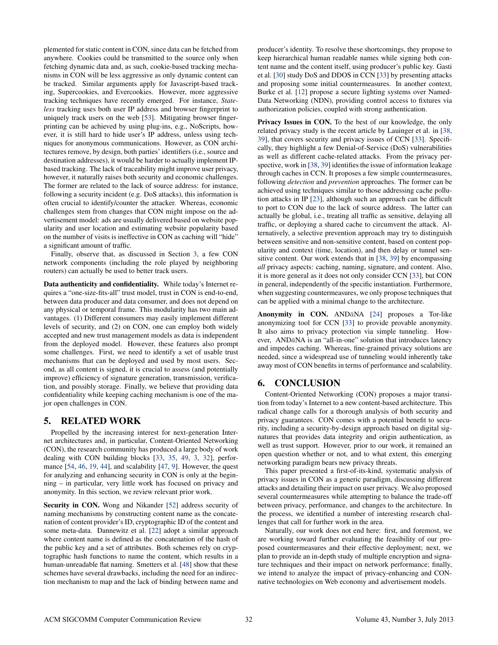plemented for static content in CON, since data can be fetched from anywhere. Cookies could be transmitted to the source only when fetching dynamic data and, as such, cookie-based tracking mechanisms in CON will be less aggressive as only dynamic content can be tracked. Similar arguments apply for Javascript-based tracking, Supercookies, and Evercookies. However, more aggressive tracking techniques have recently emerged. For instance, *Stateless* tracking uses both user IP address and browser fingerprint to uniquely track users on the web [\[53\]](#page-7-45). Mitigating browser fingerprinting can be achieved by using plug-ins, e.g., NoScripts, however, it is still hard to hide user's IP address, unless using techniques for anonymous communications. However, as CON architectures remove, by design, both parties' identifiers (i.e., source and destination addresses), it would be harder to actually implement IPbased tracking. The lack of traceability might improve user privacy, however, it naturally raises both security and economic challenges. The former are related to the lack of source address: for instance, following a security incident (e.g. DoS attacks), this information is often crucial to identify/counter the attacker. Whereas, economic challenges stem from changes that CON might impose on the advertisement model: ads are usually delivered based on website popularity and user location and estimating website popularity based on the number of visits is ineffective in CON as caching will "hide" a significant amount of traffic.

Finally, observe that, as discussed in Section [3,](#page-2-1) a few CON network components (including the role played by neighboring routers) can actually be used to better track users.

Data authenticity and confidentiality. While today's Internet requires a "one-size-fits-all" trust model, trust in CON is end-to-end, between data producer and data consumer, and does not depend on any physical or temporal frame. This modularity has two main advantages. (1) Different consumers may easily implement different levels of security, and (2) on CON, one can employ both widely accepted and new trust management models as data is independent from the deployed model. However, these features also prompt some challenges. First, we need to identify a set of usable trust mechanisms that can be deployed and used by most users. Second, as all content is signed, it is crucial to assess (and potentially improve) efficiency of signature generation, transmission, verification, and possibly storage. Finally, we believe that providing data confidentiality while keeping caching mechanism is one of the major open challenges in CON.

# 5. RELATED WORK

Propelled by the increasing interest for next-generation Internet architectures and, in particular, Content-Oriented Networking (CON), the research community has produced a large body of work dealing with CON building blocks [\[33,](#page-7-8) [35,](#page-7-6) [49,](#page-7-9) [3,](#page-7-7) [32\]](#page-7-10), perfor-mance [\[54,](#page-7-35) [46,](#page-7-18) [19,](#page-7-46) [44\]](#page-7-16), and scalability [\[47,](#page-7-17) [9\]](#page-7-47). However, the quest for analyzing and enhancing security in CON is only at the beginning – in particular, very little work has focused on privacy and anonymity. In this section, we review relevant prior work.

Security in CON. Wong and Nikander [\[52\]](#page-7-48) address security of naming mechanisms by constructing content name as the concatenation of content provider's ID, cryptographic ID of the content and some meta-data. Dannewitz et al. [\[22\]](#page-7-49) adopt a similar approach where content name is defined as the concatenation of the hash of the public key and a set of attributes. Both schemes rely on cryptographic hash functions to name the content, which results in a human-unreadable flat naming. Smetters et al. [\[48\]](#page-7-20) show that these schemes have several drawbacks, including the need for an indirection mechanism to map and the lack of binding between name and producer's identity. To resolve these shortcomings, they propose to keep hierarchical human readable names while signing both content name and the content itself, using producer's public key. Gasti et al. [\[30\]](#page-7-50) study DoS and DDOS in CCN [\[33\]](#page-7-8) by presenting attacks and proposing some initial countermeasures. In another context, Burke et al. [\[12\]](#page-7-51) propose a secure lighting systems over Named-Data Networking (NDN), providing control access to fixtures via authorization policies, coupled with strong authentication.

Privacy Issues in CON. To the best of our knowledge, the only related privacy study is the recent article by Lauinger et al. in [\[38,](#page-7-23) [39\]](#page-7-52), that covers security and privacy issues of CCN [\[33\]](#page-7-8). Specifically, they highlight a few Denial-of-Service (DoS) vulnerabilities as well as different cache-related attacks. From the privacy perspective, work in [\[38,](#page-7-23) [39\]](#page-7-52) identifies the issue of information leakage through caches in CCN. It proposes a few simple countermeasures, following *detection* and *prevention* approaches. The former can be achieved using techniques similar to those addressing cache pollution attacks in IP [\[23\]](#page-7-53), although such an approach can be difficult to port to CON due to the lack of source address. The latter can actually be global, i.e., treating all traffic as sensitive, delaying all traffic, or deploying a shared cache to circumvent the attack. Alternatively, a selective prevention approach may try to distinguish between sensitive and non-sensitive content, based on content popularity and context (time, location), and then delay or tunnel sensitive content. Our work extends that in [\[38,](#page-7-23) [39\]](#page-7-52) by encompassing *all* privacy aspects: caching, naming, signature, and content. Also, it is more general as it does not only consider CCN [\[33\]](#page-7-8), but CON in general, independently of the specific instantiation. Furthermore, when suggesting countermeasures, we only propose techniques that can be applied with a minimal change to the architecture.

Anonymity in CON. AND $\bar{a}$ NA [\[24\]](#page-7-43) proposes a Tor-like anonymizing tool for CCN [\[33\]](#page-7-8) to provide provable anonymity. It also aims to privacy protection via simple tunneling. However, ANDāNA is an "all-in-one" solution that introduces latency and impedes caching. Whereas, fine-grained privacy solutions are needed, since a widespread use of tunneling would inherently take away most of CON benefits in terms of performance and scalability.

# 6. CONCLUSION

Content-Oriented Networking (CON) proposes a major transition from today's Internet to a new content-based architecture. This radical change calls for a thorough analysis of both security and privacy guarantees. CON comes with a potential benefit to security, including a security-by-design approach based on digital signatures that provides data integrity and origin authentication, as well as trust support. However, prior to our work, it remained an open question whether or not, and to what extent, this emerging networking paradigm bears new privacy threats.

This paper presented a first-of-its-kind, systematic analysis of privacy issues in CON as a generic paradigm, discussing different attacks and detailing their impact on user privacy. We also proposed several countermeasures while attempting to balance the trade-off between privacy, performance, and changes to the architecture. In the process, we identified a number of interesting research challenges that call for further work in the area.

Naturally, our work does not end here: first, and foremost, we are working toward further evaluating the feasibility of our proposed countermeasures and their effective deployment; next, we plan to provide an in-depth study of multiple encryption and signature techniques and their impact on network performance; finally, we intend to analyze the impact of privacy-enhancing and CONnative technologies on Web economy and advertisement models.